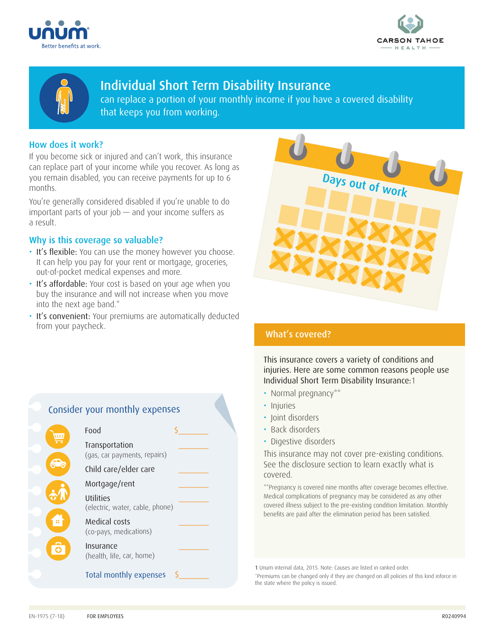





# Individual Short Term Disability Insurance

can replace a portion of your monthly income if you have a covered disability that keeps you from working.

## How does it work?

If you become sick or injured and can't work, this insurance can replace part of your income while you recover. As long as you remain disabled, you can receive payments for up to 6 months.

You're generally considered disabled if you're unable to do important parts of your job  $-$  and your income suffers as a result.

## Why is this coverage so valuable?

- It's flexible: You can use the money however you choose. It can help you pay for your rent or mortgage, groceries, out-of-pocket medical expenses and more.
- It's affordable: Your cost is based on your age when you buy the insurance and will not increase when you move into the next age band.\*
- It's convenient: Your premiums are automatically deducted from your paycheck. The second second what's covered?



This insurance covers a variety of conditions and injuries. Here are some common reasons people use Individual Short Term Disability Insurance:1

- Normal pregnancy\*\*
- Injuries
- Ioint disorders
- Back disorders
- Digestive disorders

This insurance may not cover pre-existing conditions. See the disclosure section to learn exactly what is covered.

\*\*Pregnancy is covered nine months after coverage becomes effective. Medical complications of pregnancy may be considered as any other covered illness subject to the pre-existing condition limitation. Monthly benefits are paid after the elimination period has been satisfied.

1 Unum internal data, 2015. Note: Causes are listed in ranked order.

\*Premiums can be changed only if they are changed on all policies of this kind inforce in the state where the policy is issued.

# Consider your monthly expenses Food  $\overline{\mathbf{u}}$

Transportation \_\_\_\_\_\_\_ (gas, car payments, repairs) Child care/elder care Mortgage/rent **Utilities** (electric, water, cable, phone) Medical costs (co-pays, medications) Insurance (health, life, car, home) Total monthly expenses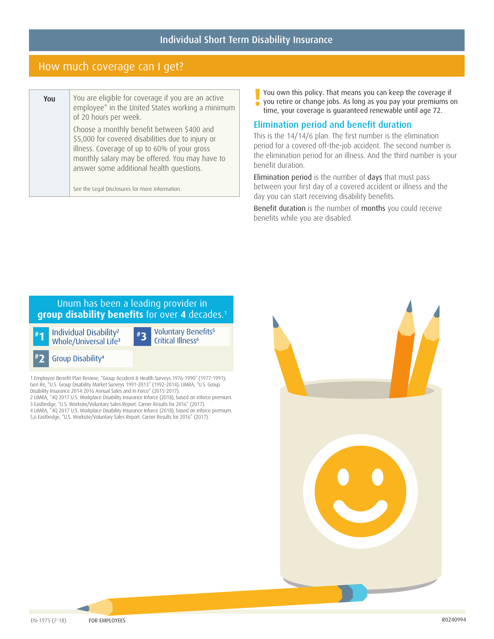# How much coverage can I get?

| You | You are eligible for coverage if you are an active<br>employee* in the United States working a minimum<br>of 20 hours per week.                                                                                                               |  |
|-----|-----------------------------------------------------------------------------------------------------------------------------------------------------------------------------------------------------------------------------------------------|--|
|     | Choose a monthly benefit between \$400 and<br>\$5,000 for covered disabilities due to injury or<br>illness. Coverage of up to 60% of your gross<br>monthly salary may be offered. You may have to<br>answer some additional health questions. |  |
|     | See the Legal Disclosures for more information.                                                                                                                                                                                               |  |

You own this policy. That means you can keep the coverage if<br>
you retire or change jobs. As long as you pay your premiums of<br>
time your coverage is quaranteed spourable until ase 72 you retire or change jobs. As long as you pay your premiums on time, your coverage is guaranteed renewable until age 72.

## Elimination period and benefit duration

This is the 14/14/6 plan. The first number is the elimination period for a covered off-the-job accident. The second number is the elimination period for an illness. And the third number is your benefit duration.

Elimination period is the number of days that must pass between your first day of a covered accident or illness and the day you can start receiving disability benefits.

Benefit duration is the number of months you could receive benefits while you are disabled.

# Unum has been a leading provider in **group disability benefits** for over **4** decades.1

**# 1** Individual Disability<sup>2</sup> Whole/Universal Life<sup>3</sup>



**3** Voluntary Benefits<sup>5</sup> Critical Illness<sup>6</sup>



1 Employee Benefit Plan Review, "Group Accident & Health Surveys 1976-1990" (1977-1991); Gen Re, "U.S. Group Disability Market Surveys 1991-2013" (1992-2014); LIMRA, "U.S. Group Disability Insurance 2014-2016 Annual Sales and In Force" (2015-2017). 2 LIMRA, "4Q 2017 U.S. Workplace Disability Insurance Inforce (2018), based on inforce premium. 3 Eastbridge, "U.S. Worksite/Voluntary Sales Report: Carrier Results for 2016" (2017). 4 LIMRA, "4Q 2017 U.S. Workplace Disability Insurance Inforce (2018), based on inforce premium. 5,6 Eastbridge, "U.S. Worksite/Voluntary Sales Report: Carrier Results for 2016" (2017).